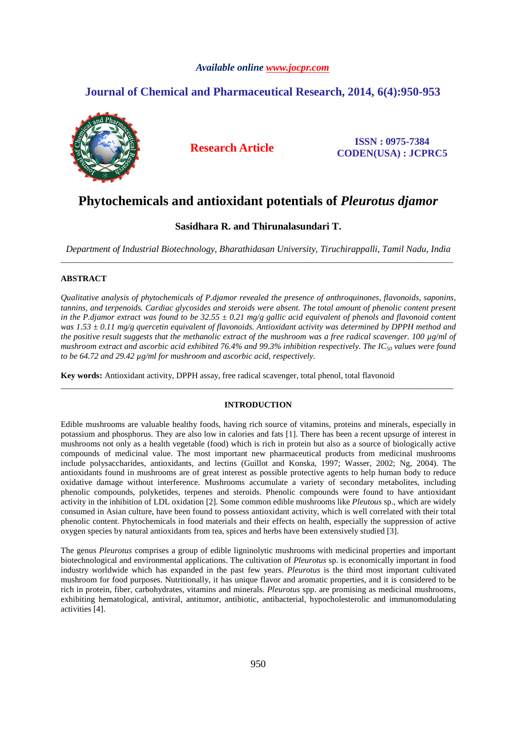## *Available online www.jocpr.com*

## **Journal of Chemical and Pharmaceutical Research, 2014, 6(4):950-953**



**Research Article ISSN : 0975-7384 CODEN(USA) : JCPRC5**

# **Phytochemicals and antioxidant potentials of** *Pleurotus djamor*

## **Sasidhara R. and Thirunalasundari T.**

*Department of Industrial Biotechnology, Bharathidasan University, Tiruchirappalli, Tamil Nadu, India*  \_\_\_\_\_\_\_\_\_\_\_\_\_\_\_\_\_\_\_\_\_\_\_\_\_\_\_\_\_\_\_\_\_\_\_\_\_\_\_\_\_\_\_\_\_\_\_\_\_\_\_\_\_\_\_\_\_\_\_\_\_\_\_\_\_\_\_\_\_\_\_\_\_\_\_\_\_\_\_\_\_\_\_\_\_\_\_\_\_\_\_\_\_

## **ABSTRACT**

*Qualitative analysis of phytochemicals of P.djamor revealed the presence of anthroquinones, flavonoids, saponins, tannins, and terpenoids. Cardiac glycosides and steroids were absent. The total amount of phenolic content present in the P.djamor extract was found to be 32.55 ± 0.21 mg/g gallic acid equivalent of phenols and flavonoid content was 1.53 ± 0.11 mg/g quercetin equivalent of flavonoids. Antioxidant activity was determined by DPPH method and the positive result suggests that the methanolic extract of the mushroom was a free radical scavenger. 100 µg/ml of mushroom extract and ascorbic acid exhibited 76.4% and 99.3% inhibition respectively. The IC50 values were found to be 64.72 and 29.42 µg/ml for mushroom and ascorbic acid, respectively.* 

**Key words:** Antioxidant activity, DPPH assay, free radical scavenger, total phenol, total flavonoid

## **INTRODUCTION**

\_\_\_\_\_\_\_\_\_\_\_\_\_\_\_\_\_\_\_\_\_\_\_\_\_\_\_\_\_\_\_\_\_\_\_\_\_\_\_\_\_\_\_\_\_\_\_\_\_\_\_\_\_\_\_\_\_\_\_\_\_\_\_\_\_\_\_\_\_\_\_\_\_\_\_\_\_\_\_\_\_\_\_\_\_\_\_\_\_\_\_\_\_

Edible mushrooms are valuable healthy foods, having rich source of vitamins, proteins and minerals, especially in potassium and phosphorus. They are also low in calories and fats [1]. There has been a recent upsurge of interest in mushrooms not only as a health vegetable (food) which is rich in protein but also as a source of biologically active compounds of medicinal value. The most important new pharmaceutical products from medicinal mushrooms include polysaccharides, antioxidants, and lectins (Guillot and Konska, 1997; Wasser, 2002; Ng, 2004). The antioxidants found in mushrooms are of great interest as possible protective agents to help human body to reduce oxidative damage without interference. Mushrooms accumulate a variety of secondary metabolites, including phenolic compounds, polyketides, terpenes and steroids. Phenolic compounds were found to have antioxidant activity in the inhibition of LDL oxidation [2]. Some common edible mushrooms like *Pleutous* sp., which are widely consumed in Asian culture, have been found to possess antioxidant activity, which is well correlated with their total phenolic content. Phytochemicals in food materials and their effects on health, especially the suppression of active oxygen species by natural antioxidants from tea, spices and herbs have been extensively studied [3].

The genus *Pleurotus* comprises a group of edible ligninolytic mushrooms with medicinal properties and important biotechnological and environmental applications. The cultivation of *Pleurotus* sp. is economically important in food industry worldwide which has expanded in the past few years. *Pleurotus* is the third most important cultivated mushroom for food purposes. Nutritionally, it has unique flavor and aromatic properties, and it is considered to be rich in protein, fiber, carbohydrates, vitamins and minerals. *Pleurotus* spp. are promising as medicinal mushrooms, exhibiting hematological, antiviral, antitumor, antibiotic, antibacterial, hypocholesterolic and immunomodulating activities [4].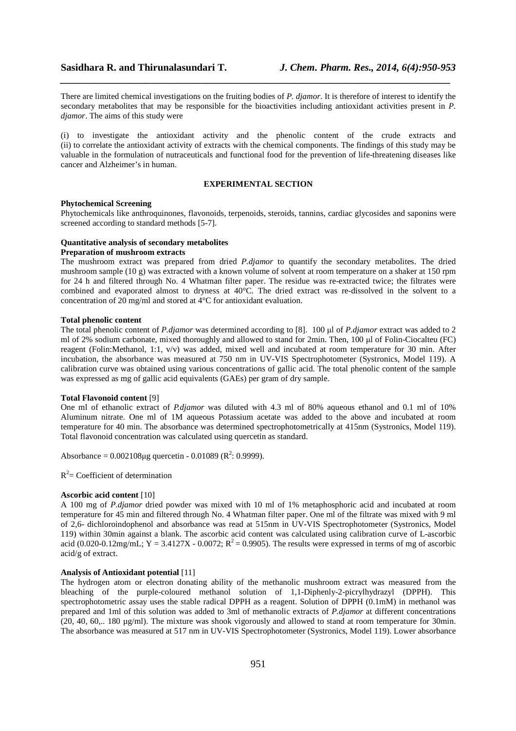There are limited chemical investigations on the fruiting bodies of *P. djamor*. It is therefore of interest to identify the secondary metabolites that may be responsible for the bioactivities including antioxidant activities present in *P. djamor*. The aims of this study were

*\_\_\_\_\_\_\_\_\_\_\_\_\_\_\_\_\_\_\_\_\_\_\_\_\_\_\_\_\_\_\_\_\_\_\_\_\_\_\_\_\_\_\_\_\_\_\_\_\_\_\_\_\_\_\_\_\_\_\_\_\_\_\_\_\_\_\_\_\_\_\_\_\_\_\_\_\_*

(i) to investigate the antioxidant activity and the phenolic content of the crude extracts and (ii) to correlate the antioxidant activity of extracts with the chemical components. The findings of this study may be valuable in the formulation of nutraceuticals and functional food for the prevention of life-threatening diseases like cancer and Alzheimer's in human.

#### **EXPERIMENTAL SECTION**

#### **Phytochemical Screening**

Phytochemicals like anthroquinones, flavonoids, terpenoids, steroids, tannins, cardiac glycosides and saponins were screened according to standard methods [5-7].

## **Quantitative analysis of secondary metabolites**

## **Preparation of mushroom extracts**

The mushroom extract was prepared from dried *P.djamor* to quantify the secondary metabolites. The dried mushroom sample (10 g) was extracted with a known volume of solvent at room temperature on a shaker at 150 rpm for 24 h and filtered through No. 4 Whatman filter paper. The residue was re-extracted twice; the filtrates were combined and evaporated almost to dryness at 40°C. The dried extract was re-dissolved in the solvent to a concentration of 20 mg/ml and stored at  $4^{\circ}$ C for antioxidant evaluation.

### **Total phenolic content**

The total phenolic content of *P.djamor* was determined according to [8]. 100 µl of *P.djamor* extract was added to 2 ml of 2% sodium carbonate, mixed thoroughly and allowed to stand for 2min. Then, 100 µl of Folin-Ciocalteu (FC) reagent (Folin:Methanol, 1:1, v/v) was added, mixed well and incubated at room temperature for 30 min. After incubation, the absorbance was measured at 750 nm in UV-VIS Spectrophotometer (Systronics, Model 119). A calibration curve was obtained using various concentrations of gallic acid. The total phenolic content of the sample was expressed as mg of gallic acid equivalents (GAEs) per gram of dry sample.

#### **Total Flavonoid content** [9]

One ml of ethanolic extract of *P.djamor* was diluted with 4.3 ml of 80% aqueous ethanol and 0.1 ml of 10% Aluminum nitrate. One ml of 1M aqueous Potassium acetate was added to the above and incubated at room temperature for 40 min. The absorbance was determined spectrophotometrically at 415nm (Systronics, Model 119). Total flavonoid concentration was calculated using quercetin as standard.

Absorbance =  $0.002108\mu$ g quercetin -  $0.01089$  (R<sup>2</sup>: 0.9999).

 $R^2$  = Coefficient of determination

#### **Ascorbic acid content** [10]

A 100 mg of *P.djamor* dried powder was mixed with 10 ml of 1% metaphosphoric acid and incubated at room temperature for 45 min and filtered through No. 4 Whatman filter paper. One ml of the filtrate was mixed with 9 ml of 2,6- dichloroindophenol and absorbance was read at 515nm in UV-VIS Spectrophotometer (Systronics, Model 119) within 30min against a blank. The ascorbic acid content was calculated using calibration curve of L-ascorbic acid (0.020-0.12mg/mL; Y = 3.4127X - 0.0072;  $R^2$  = 0.9905). The results were expressed in terms of mg of ascorbic acid/g of extract.

#### **Analysis of Antioxidant potential** [11]

The hydrogen atom or electron donating ability of the methanolic mushroom extract was measured from the bleaching of the purple-coloured methanol solution of 1,1-Diphenly-2-picrylhydrazyl (DPPH). This spectrophotometric assay uses the stable radical DPPH as a reagent. Solution of DPPH (0.1mM) in methanol was prepared and 1ml of this solution was added to 3ml of methanolic extracts of *P.djamor* at different concentrations (20, 40, 60,.. 180  $\mu$ g/ml). The mixture was shook vigorously and allowed to stand at room temperature for 30min. The absorbance was measured at 517 nm in UV-VIS Spectrophotometer (Systronics, Model 119). Lower absorbance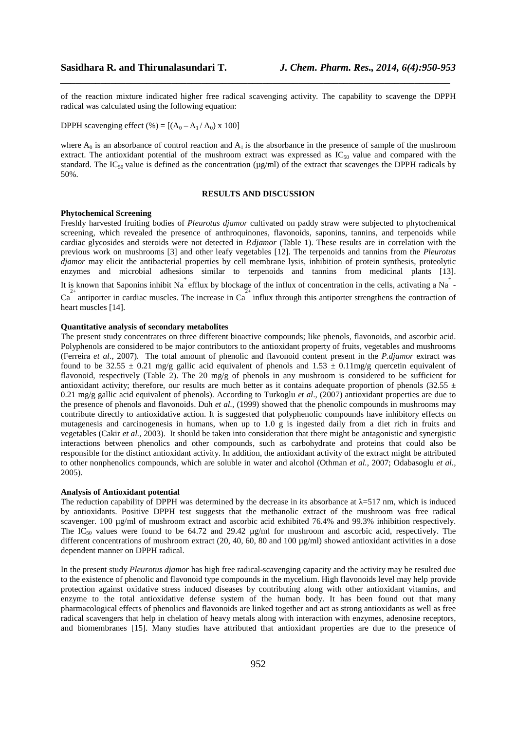of the reaction mixture indicated higher free radical scavenging activity. The capability to scavenge the DPPH radical was calculated using the following equation:

*\_\_\_\_\_\_\_\_\_\_\_\_\_\_\_\_\_\_\_\_\_\_\_\_\_\_\_\_\_\_\_\_\_\_\_\_\_\_\_\_\_\_\_\_\_\_\_\_\_\_\_\_\_\_\_\_\_\_\_\_\_\_\_\_\_\_\_\_\_\_\_\_\_\_\_\_\_*

DPPH scavenging effect (%) =  $[(A_0 - A_1 / A_0) \times 100]$ 

where  $A_0$  is an absorbance of control reaction and  $A_1$  is the absorbance in the presence of sample of the mushroom extract. The antioxidant potential of the mushroom extract was expressed as  $IC_{50}$  value and compared with the standard. The IC<sub>50</sub> value is defined as the concentration ( $\mu$ g/ml) of the extract that scavenges the DPPH radicals by 50%.

### **RESULTS AND DISCUSSION**

#### **Phytochemical Screening**

Freshly harvested fruiting bodies of *Pleurotus djamor* cultivated on paddy straw were subjected to phytochemical screening, which revealed the presence of anthroquinones, flavonoids, saponins, tannins, and terpenoids while cardiac glycosides and steroids were not detected in *P.djamor* (Table 1). These results are in correlation with the previous work on mushrooms [3] and other leafy vegetables [12]. The terpenoids and tannins from the *Pleurotus djamor* may elicit the antibacterial properties by cell membrane lysis, inhibition of protein synthesis, proteolytic enzymes and microbial adhesions similar to terpenoids and tannins from medicinal plants [13]. It is known that Saponins inhibit Na<sup>+</sup> efflux by blockage of the influx of concentration in the cells, activating a Na<sup>+</sup> - $Ca<sup>2+</sup>$  antiporter in cardiac muscles. The increase in  $Ca<sup>2+</sup>$  influx through this antiporter strengthens the contraction of heart muscles [14].

## **Quantitative analysis of secondary metabolites**

The present study concentrates on three different bioactive compounds; like phenols, flavonoids, and ascorbic acid. Polyphenols are considered to be major contributors to the antioxidant property of fruits, vegetables and mushrooms (Ferreira *et al*., 2007). The total amount of phenolic and flavonoid content present in the *P.djamor* extract was found to be 32.55  $\pm$  0.21 mg/g gallic acid equivalent of phenols and 1.53  $\pm$  0.11mg/g quercetin equivalent of flavonoid, respectively (Table 2). The 20 mg/g of phenols in any mushroom is considered to be sufficient for antioxidant activity; therefore, our results are much better as it contains adequate proportion of phenols (32.55  $\pm$ 0.21 mg/g gallic acid equivalent of phenols). According to Turkoglu *et al*., (2007) antioxidant properties are due to the presence of phenols and flavonoids. Duh *et al.,* (1999) showed that the phenolic compounds in mushrooms may contribute directly to antioxidative action. It is suggested that polyphenolic compounds have inhibitory effects on mutagenesis and carcinogenesis in humans, when up to 1.0 g is ingested daily from a diet rich in fruits and vegetables (Cakir *et al.,* 2003). It should be taken into consideration that there might be antagonistic and synergistic interactions between phenolics and other compounds, such as carbohydrate and proteins that could also be responsible for the distinct antioxidant activity. In addition, the antioxidant activity of the extract might be attributed to other nonphenolics compounds, which are soluble in water and alcohol (Othman *et al.,* 2007; Odabasoglu *et al.,* 2005).

## **Analysis of Antioxidant potential**

The reduction capability of DPPH was determined by the decrease in its absorbance at  $\lambda$ =517 nm, which is induced by antioxidants. Positive DPPH test suggests that the methanolic extract of the mushroom was free radical scavenger. 100 µg/ml of mushroom extract and ascorbic acid exhibited 76.4% and 99.3% inhibition respectively. The  $IC_{50}$  values were found to be 64.72 and 29.42  $\mu$ g/ml for mushroom and ascorbic acid, respectively. The different concentrations of mushroom extract (20, 40, 60, 80 and 100  $\mu$ g/ml) showed antioxidant activities in a dose dependent manner on DPPH radical.

In the present study *Pleurotus djamor* has high free radical-scavenging capacity and the activity may be resulted due to the existence of phenolic and flavonoid type compounds in the mycelium. High flavonoids level may help provide protection against oxidative stress induced diseases by contributing along with other antioxidant vitamins, and enzyme to the total antioxidative defense system of the human body. It has been found out that many pharmacological effects of phenolics and flavonoids are linked together and act as strong antioxidants as well as free radical scavengers that help in chelation of heavy metals along with interaction with enzymes, adenosine receptors, and biomembranes [15]. Many studies have attributed that antioxidant properties are due to the presence of